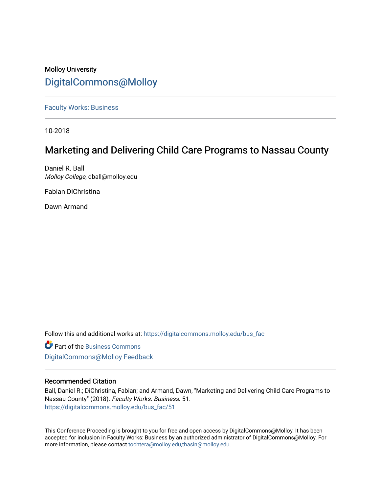# Molloy University [DigitalCommons@Molloy](https://digitalcommons.molloy.edu/)

[Faculty Works: Business](https://digitalcommons.molloy.edu/bus_fac) 

10-2018

# Marketing and Delivering Child Care Programs to Nassau County

Daniel R. Ball Molloy College, dball@molloy.edu

Fabian DiChristina

Dawn Armand

Follow this and additional works at: [https://digitalcommons.molloy.edu/bus\\_fac](https://digitalcommons.molloy.edu/bus_fac?utm_source=digitalcommons.molloy.edu%2Fbus_fac%2F51&utm_medium=PDF&utm_campaign=PDFCoverPages)

**C** Part of the [Business Commons](https://network.bepress.com/hgg/discipline/622?utm_source=digitalcommons.molloy.edu%2Fbus_fac%2F51&utm_medium=PDF&utm_campaign=PDFCoverPages) [DigitalCommons@Molloy Feedback](https://molloy.libwizard.com/f/dcfeedback)

# Recommended Citation

Ball, Daniel R.; DiChristina, Fabian; and Armand, Dawn, "Marketing and Delivering Child Care Programs to Nassau County" (2018). Faculty Works: Business. 51. [https://digitalcommons.molloy.edu/bus\\_fac/51](https://digitalcommons.molloy.edu/bus_fac/51?utm_source=digitalcommons.molloy.edu%2Fbus_fac%2F51&utm_medium=PDF&utm_campaign=PDFCoverPages) 

This Conference Proceeding is brought to you for free and open access by DigitalCommons@Molloy. It has been accepted for inclusion in Faculty Works: Business by an authorized administrator of DigitalCommons@Molloy. For more information, please contact [tochtera@molloy.edu,thasin@molloy.edu.](mailto:tochtera@molloy.edu,thasin@molloy.edu)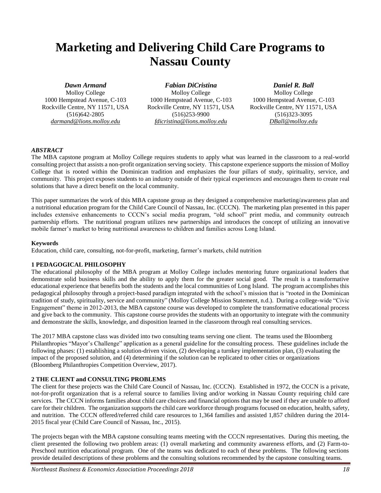# **Marketing and Delivering Child Care Programs to Nassau County**

# *Dawn Armand*

Molloy College 1000 Hempstead Avenue, C-103 Rockville Centre, NY 11571, USA (516)642-2805 *darmand@lions.molloy.edu*

*Fabian DiCristina* Molloy College 1000 Hempstead Avenue, C-103 Rockville Centre, NY 11571, USA (516)253-9900 *fdicristina@lions.molloy.edu*

*Daniel R. Ball*

Molloy College 1000 Hempstead Avenue, C-103 Rockville Centre, NY 11571, USA (516)323-3095 *DBall@molloy.edu*

# *ABSTRACT*

The MBA capstone program at Molloy College requires students to apply what was learned in the classroom to a real-world consulting project that assists a non-profit organization serving society. This capstone experience supports the mission of Molloy College that is rooted within the Dominican tradition and emphasizes the four pillars of study, spirituality, service, and community. This project exposes students to an industry outside of their typical experiences and encourages them to create real solutions that have a direct benefit on the local community.

This paper summarizes the work of this MBA capstone group as they designed a comprehensive marketing/awareness plan and a nutritional education program for the Child Care Council of Nassau, Inc. (CCCN). The marketing plan presented in this paper includes extensive enhancements to CCCN's social media program, "old school" print media, and community outreach partnership efforts. The nutritional program utilizes new partnerships and introduces the concept of utilizing an innovative mobile farmer's market to bring nutritional awareness to children and families across Long Island.

### **Keywords**

Education, child care, consulting, not-for-profit, marketing, farmer's markets, child nutrition

# **1 PEDAGOGICAL PHILOSOPHY**

The educational philosophy of the MBA program at Molloy College includes mentoring future organizational leaders that demonstrate solid business skills and the ability to apply them for the greater social good. The result is a transformative educational experience that benefits both the students and the local communities of Long Island. The program accomplishes this pedagogical philosophy through a project-based paradigm integrated with the school's mission that is "rooted in the Dominican tradition of study, spirituality, service and community" (Molloy College Mission Statement, n.d.). During a college-wide "Civic Engagement" theme in 2012-2013, the MBA capstone course was developed to complete the transformative educational process and give back to the community. This capstone course provides the students with an opportunity to integrate with the community and demonstrate the skills, knowledge, and disposition learned in the classroom through real consulting services.

The 2017 MBA capstone class was divided into two consulting teams serving one client. The teams used the Bloomberg Philanthropies "Mayor's Challenge" application as a general guideline for the consulting process. These guidelines include the following phases: (1) establishing a solution-driven vision, (2) developing a turnkey implementation plan, (3) evaluating the impact of the proposed solution, and (4) determining if the solution can be replicated to other cities or organizations (Bloomberg Philanthropies Competition Overview, 2017).

# **2 THE CLIENT and CONSULTING PROBLEMS**

The client for these projects was the Child Care Council of Nassau, Inc. (CCCN). Established in 1972, the CCCN is a private, not-for-profit organization that is a referral source to families living and/or working in Nassau County requiring child care services. The CCCN informs families about child care choices and financial options that may be used if they are unable to afford care for their children. The organization supports the child care workforce through programs focused on education, health, safety, and nutrition. The CCCN offered/referred child care resources to 1,364 families and assisted 1,857 children during the 2014- 2015 fiscal year (Child Care Council of Nassau, Inc., 2015).

The projects began with the MBA capstone consulting teams meeting with the CCCN representatives. During this meeting, the client presented the following two problem areas: (1) overall marketing and community awareness efforts, and (2) Farm-to-Preschool nutrition educational program. One of the teams was dedicated to each of these problems. The following sections provide detailed descriptions of these problems and the consulting solutions recommended by the capstone consulting teams.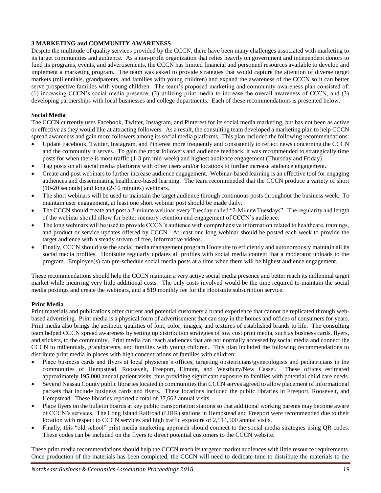#### **3 MARKETING and COMMUNITY AWARENESS**

Despite the multitude of quality services provided by the CCCN, there have been many challenges associated with marketing to its target communities and audience. As a non-profit organization that relies heavily on government and independent donors to fund its programs, events, and advertisements, the CCCN has limited financial and personnel resources available to develop and implement a marketing program. The team was asked to provide strategies that would capture the attention of diverse target markets (millennials, grandparents, and families with young children) and expand the awareness of the CCCN so it can better serve prospective families with young children. The team's proposed marketing and community awareness plan consisted of: (1) increasing CCCN's social media presence, (2) utilizing print media to increase the overall awareness of CCCN, and (3) developing partnerships with local businesses and college departments. Each of these recommendations is presented below.

#### **Social Media**

The CCCN currently uses Facebook, Twitter, Instagram, and Pinterest for its social media marketing, but has not been as active or effective as they would like at attracting followers. As a result, the consulting team developed a marketing plan to help CCCN spread awareness and gain more followers among its social media platforms. This plan included the following recommendations:

- Update Facebook, Twitter, Instagram, and Pinterest more frequently and consistently to reflect news concerning the CCCN and the community it serves. To gain the most followers and audience feedback, it was recommended to strategically time posts for when there is most traffic (1-3 pm mid-week) and highest audience engagement (Thursday and Friday).
- Tag posts on all social media platforms with other users and/or locations to further increase audience engagement.
- Create and post webinars to further increase audience engagement. Webinar-based learning is an effective tool for engaging audiences and disseminating healthcare-based learning. The team recommended that the CCCN produce a variety of short (10-20 seconds) and long (2-10 minutes) webinars.
- The short webinars will be used to maintain the target audience through continuous posts throughout the business week. To maintain user engagement, at least one short webinar post should be made daily.
- The CCCN should create and post a 2-minute webinar every Tuesday called "2-Minute Tuesdays". The regularity and length of the webinar should allow for better memory retention and engagement of CCCN's audience.
- The long webinars will be used to provide CCCN's audience with comprehensive information related to healthcare, trainings, and product or service updates offered by CCCN. At least one long webinar should be posted each week to provide the target audience with a steady stream of free, informative videos.
- Finally, CCCN should use the social media management program Hootsuite to efficiently and autonomously maintain all its social media profiles. Hootsuite regularly updates all profiles with social media content that a moderator uploads to the program. Employee(s) can pre-schedule social media posts at a time when there will be highest audience engagement.

These recommendations should help the CCCN maintain a very active social media presence and better reach its millennial target market while incurring very little additional costs. The only costs involved would be the time required to maintain the social media postings and create the webinars, and a \$19 monthly fee for the Hootsuite subscription service.

#### **Print Media**

Print materials and publications offer current and potential customers a brand experience that cannot be replicated through webbased advertising. Print media is a physical form of advertisement that can stay in the homes and offices of consumers for years. Print media also brings the aesthetic qualities of font, color, images, and textures of established brands to life. The consulting team helped CCCN spread awareness by setting up distribution strategies of low cost print media, such as business cards, flyers, and stickers, to the community. Print media can reach audiences that are not normally accessed by social media and connect the CCCN to millennials, grandparents, and families with young children. This plan included the following recommendations to distribute print media in places with high concentrations of families with children:

- Place business cards and flyers at local physician's offices, targeting obstetricians/gynecologists and pediatricians in the communities of Hempstead, Roosevelt, Freeport, Elmont, and Westbury/New Cassel. These offices estimated approximately 195,000 annual patient visits, thus providing significant exposure to families with potential child care needs.
- Several Nassau County public libraries located in communities that CCCN serves agreed to allow placement of informational packets that include business cards and flyers. These locations included the public libraries in Freeport, Roosevelt, and Hempstead. These libraries reported a total of 37,662 annual visits.
- Place flyers on the bulletin boards at key public transportation stations so that additional working parents may become aware of CCCN's services. The Long Island Railroad (LIRR) stations in Hempstead and Freeport were recommended due to their location with respect to CCCN services and high traffic exposure of 2,514,500 annual visits.
- Finally, this "old school" print media marketing approach should connect to the social media strategies using QR codes. These codes can be included on the flyers to direct potential customers to the CCCN website.

These print media recommendations should help the CCCN reach its targeted market audiences with little resource requirements. Once production of the materials has been completed, the CCCN will need to dedicate time to distribute the materials to the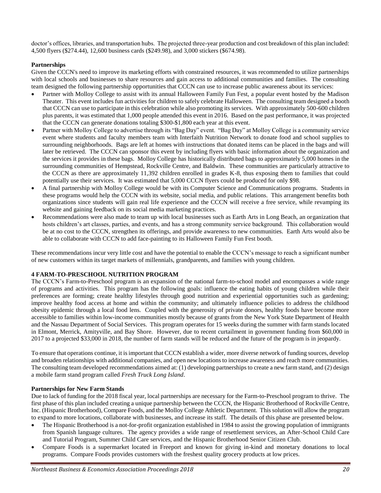doctor's offices, libraries, and transportation hubs. The projected three-year production and cost breakdown of this plan included: 4,500 flyers (\$274.44), 12,600 business cards (\$249.98), and 3,000 stickers (\$674.98).

# **Partnerships**

Given the CCCN's need to improve its marketing efforts with constrained resources, it was recommended to utilize partnerships with local schools and businesses to share resources and gain access to additional communities and families. The consulting team designed the following partnership opportunities that CCCN can use to increase public awareness about its services:

- Partner with Molloy College to assist with its annual Halloween Family Fun Fest, a popular event hosted by the Madison Theater. This event includes fun activities for children to safely celebrate Halloween. The consulting team designed a booth that CCCN can use to participate in this celebration while also promoting its services. With approximately 500-600 children plus parents, it was estimated that 1,000 people attended this event in 2016. Based on the past performance, it was projected that the CCCN can generate donations totaling \$300-\$1,800 each year at this event.
- Partner with Molloy College to advertise through its "Bag Day" event. "Bag Day" at Molloy College is a community service event where students and faculty members team with Interfaith Nutrition Network to donate food and school supplies to surrounding neighborhoods. Bags are left at homes with instructions that donated items can be placed in the bags and will later be retrieved. The CCCN can sponsor this event by including flyers with basic information about the organization and the services it provides in these bags. Molloy College has historically distributed bags to approximately 5,000 homes in the surrounding communities of Hempstead, Rockville Centre, and Baldwin. These communities are particularly attractive to the CCCN as there are approximately 11,392 children enrolled in grades K-8, thus exposing them to families that could potentially use their services. It was estimated that 5,000 CCCN flyers could be produced for only \$98.
- A final partnership with Molloy College would be with its Computer Science and Communications programs. Students in these programs would help the CCCN with its website, social media, and public relations. This arrangement benefits both organizations since students will gain real life experience and the CCCN will receive a free service, while revamping its website and gaining feedback on its social media marketing practices.
- Recommendations were also made to team up with local businesses such as Earth Arts in Long Beach, an organization that hosts children's art classes, parties, and events, and has a strong community service background. This collaboration would be at no cost to the CCCN, strengthen its offerings, and provide awareness to new communities. Earth Arts would also be able to collaborate with CCCN to add face-painting to its Halloween Family Fun Fest booth.

These recommendations incur very little cost and have the potential to enable the CCCN's message to reach a significant number of new customers within its target markets of millennials, grandparents, and families with young children.

#### **4 FARM-TO-PRESCHOOL NUTRITION PROGRAM**

The CCCN's Farm-to-Preschool program is an expansion of the national farm-to-school model and encompasses a wide range of programs and activities. This program has the following goals: influence the eating habits of young children while their preferences are forming; create healthy lifestyles through good nutrition and experiential opportunities such as gardening; improve healthy food access at home and within the community; and ultimately influence policies to address the childhood obesity epidemic through a local food lens. Coupled with the generosity of private donors, healthy foods have become more accessible to families within low-income communities mostly because of grants from the New York State Department of Health and the Nassau Department of Social Services. This program operates for 15 weeks during the summer with farm stands located in Elmont, Merrick, Amityville, and Bay Shore. However, due to recent curtailment in government funding from \$60,000 in 2017 to a projected \$33,000 in 2018, the number of farm stands will be reduced and the future of the program is in jeopardy.

To ensure that operations continue, it is important that CCCN establish a wider, more diverse network of funding sources, develop and broaden relationships with additional companies, and open new locations to increase awareness and reach more communities. The consulting team developed recommendations aimed at: (1) developing partnerships to create a new farm stand, and (2) design a mobile farm stand program called *Fresh Truck Long Island*.

#### **Partnerships for New Farm Stands**

Due to lack of funding for the 2018 fiscal year, local partnerships are necessary for the Farm-to-Preschool program to thrive. The first phase of this plan included creating a unique partnership between the CCCN, the Hispanic Brotherhood of Rockville Centre, Inc. (Hispanic Brotherhood), Compare Foods, and the Molloy College Athletic Department. This solution will allow the program to expand to more locations, collaborate with businesses, and increase its staff. The details of this phase are presented below.

- The Hispanic Brotherhood is a not-for-profit organization established in 1984 to assist the growing population of immigrants from Spanish language cultures. The agency provides a wide range of resettlement services, an After-School Child Care and Tutorial Program, Summer Child Care services, and the Hispanic Brotherhood Senior Citizen Club.
- Compare Foods is a supermarket located in Freeport and known for giving in-kind and monetary donations to local programs. Compare Foods provides customers with the freshest quality grocery products at low prices.